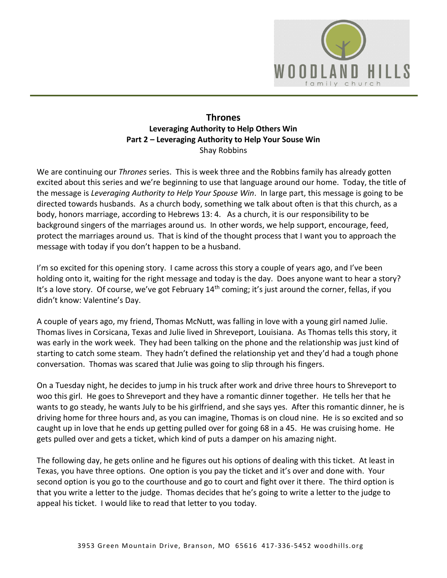

## **Thrones Leveraging Authority to Help Others Win Part 2 – Leveraging Authority to Help Your Souse Win**  Shay Robbins

We are continuing our *Thrones* series. This is week three and the Robbins family has already gotten excited about this series and we're beginning to use that language around our home. Today, the title of the message is *Leveraging Authority to Help Your Spouse Win*. In large part, this message is going to be directed towards husbands. As a church body, something we talk about often is that this church, as a body, honors marriage, according to Hebrews 13: 4. As a church, it is our responsibility to be background singers of the marriages around us. In other words, we help support, encourage, feed, protect the marriages around us. That is kind of the thought process that I want you to approach the message with today if you don't happen to be a husband.

I'm so excited for this opening story. I came across this story a couple of years ago, and I've been holding onto it, waiting for the right message and today is the day. Does anyone want to hear a story? It's a love story. Of course, we've got February 14<sup>th</sup> coming; it's just around the corner, fellas, if you didn't know: Valentine's Day.

A couple of years ago, my friend, Thomas McNutt, was falling in love with a young girl named Julie. Thomas lives in Corsicana, Texas and Julie lived in Shreveport, Louisiana. As Thomas tells this story, it was early in the work week. They had been talking on the phone and the relationship was just kind of starting to catch some steam. They hadn't defined the relationship yet and they'd had a tough phone conversation. Thomas was scared that Julie was going to slip through his fingers.

On a Tuesday night, he decides to jump in his truck after work and drive three hours to Shreveport to woo this girl. He goes to Shreveport and they have a romantic dinner together. He tells her that he wants to go steady, he wants July to be his girlfriend, and she says yes. After this romantic dinner, he is driving home for three hours and, as you can imagine, Thomas is on cloud nine. He is so excited and so caught up in love that he ends up getting pulled over for going 68 in a 45. He was cruising home. He gets pulled over and gets a ticket, which kind of puts a damper on his amazing night.

The following day, he gets online and he figures out his options of dealing with this ticket. At least in Texas, you have three options. One option is you pay the ticket and it's over and done with. Your second option is you go to the courthouse and go to court and fight over it there. The third option is that you write a letter to the judge. Thomas decides that he's going to write a letter to the judge to appeal his ticket. I would like to read that letter to you today.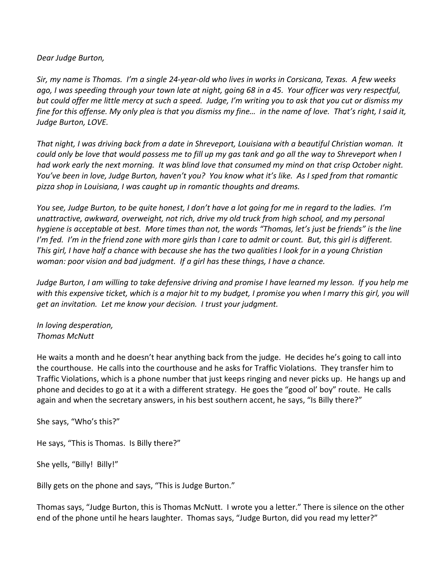*Dear Judge Burton,* 

*Sir, my name is Thomas. I'm a single 24-year-old who lives in works in Corsicana, Texas. A few weeks ago, I was speeding through your town late at night, going 68 in a 45. Your officer was very respectful, but could offer me little mercy at such a speed. Judge, I'm writing you to ask that you cut or dismiss my fine for this offense. My only plea is that you dismiss my fine… in the name of love. That's right, I said it, Judge Burton, LOVE.* 

*That night, I was driving back from a date in Shreveport, Louisiana with a beautiful Christian woman. It could only be love that would possess me to fill up my gas tank and go all the way to Shreveport when I had work early the next morning. It was blind love that consumed my mind on that crisp October night. You've been in love, Judge Burton, haven't you? You know what it's like. As I sped from that romantic pizza shop in Louisiana, I was caught up in romantic thoughts and dreams.* 

*You see, Judge Burton, to be quite honest, I don't have a lot going for me in regard to the ladies. I'm unattractive, awkward, overweight, not rich, drive my old truck from high school, and my personal hygiene is acceptable at best. More times than not, the words "Thomas, let's just be friends" is the line I'm fed. I'm in the friend zone with more girls than I care to admit or count. But, this girl is different. This girl, I have half a chance with because she has the two qualities I look for in a young Christian woman: poor vision and bad judgment. If a girl has these things, I have a chance.* 

*Judge Burton, I am willing to take defensive driving and promise I have learned my lesson. If you help me*  with this expensive ticket, which is a major hit to my budget, I promise you when I marry this girl, you will *get an invitation. Let me know your decision. I trust your judgment.* 

*In loving desperation, Thomas McNutt* 

He waits a month and he doesn't hear anything back from the judge. He decides he's going to call into the courthouse. He calls into the courthouse and he asks for Traffic Violations. They transfer him to Traffic Violations, which is a phone number that just keeps ringing and never picks up. He hangs up and phone and decides to go at it a with a different strategy. He goes the "good ol' boy" route. He calls again and when the secretary answers, in his best southern accent, he says, "Is Billy there?"

She says, "Who's this?"

He says, "This is Thomas. Is Billy there?"

She yells, "Billy! Billy!"

Billy gets on the phone and says, "This is Judge Burton."

Thomas says, "Judge Burton, this is Thomas McNutt. I wrote you a letter." There is silence on the other end of the phone until he hears laughter. Thomas says, "Judge Burton, did you read my letter?"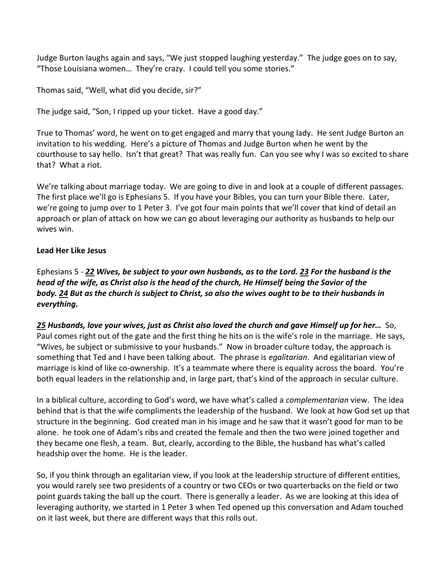Judge Burton laughs again and says, "We just stopped laughing yesterday." The judge goes on to say, "Those Louisiana women… They're crazy. I could tell you some stories."

Thomas said, "Well, what did you decide, sir?"

The judge said, "Son, I ripped up your ticket. Have a good day."

True to Thomas' word, he went on to get engaged and marry that young lady. He sent Judge Burton an invitation to his wedding. Here's a picture of Thomas and Judge Burton when he went by the courthouse to say hello. Isn't that great? That was really fun. Can you see why I was so excited to share that? What a riot.

We're talking about marriage today. We are going to dive in and look at a couple of different passages. The first place we'll go is Ephesians 5. If you have your Bibles, you can turn your Bible there. Later, we're going to jump over to 1 Peter 3. I've got four main points that we'll cover that kind of detail an approach or plan of attack on how we can go about leveraging our authority as husbands to help our wives win.

# **Lead Her Like Jesus**

Ephesians 5 - *[22](http://www.studylight.org/desk/?q=eph%205:22&t1=en_nas&sr=1) Wives, be subject to your own husbands, as to the Lord[. 23](http://www.studylight.org/desk/?q=eph%205:23&t1=en_nas&sr=1) For the husband is the head of the wife, as Christ also is the head of the church, He Himself being the Savior of the body. [24](http://www.studylight.org/desk/?q=eph%205:24&t1=en_nas&sr=1) But as the church is subject to Christ, so also the wives ought to be to their husbands in everything.* 

*[25](http://www.studylight.org/desk/?q=eph%205:25&t1=en_nas&sr=1) Husbands, love your wives, just as Christ also loved the church and gave Himself up for her…* So, Paul comes right out of the gate and the first thing he hits on is the wife's role in the marriage. He says, "Wives, be subject or submissive to your husbands." Now in broader culture today, the approach is something that Ted and I have been talking about. The phrase is *egalitarian*. And egalitarian view of marriage is kind of like co-ownership. It's a teammate where there is equality across the board. You're both equal leaders in the relationship and, in large part, that's kind of the approach in secular culture.

In a biblical culture, according to God's word, we have what's called a *complementarian* view. The idea behind that is that the wife compliments the leadership of the husband. We look at how God set up that structure in the beginning. God created man in his image and he saw that it wasn't good for man to be alone. he took one of Adam's ribs and created the female and then the two were joined together and they became one flesh, a team. But, clearly, according to the Bible, the husband has what's called headship over the home. He is the leader.

So, if you think through an egalitarian view, if you look at the leadership structure of different entities, you would rarely see two presidents of a country or two CEOs or two quarterbacks on the field or two point guards taking the ball up the court. There is generally a leader. As we are looking at this idea of leveraging authority, we started in 1 Peter 3 when Ted opened up this conversation and Adam touched on it last week, but there are different ways that this rolls out.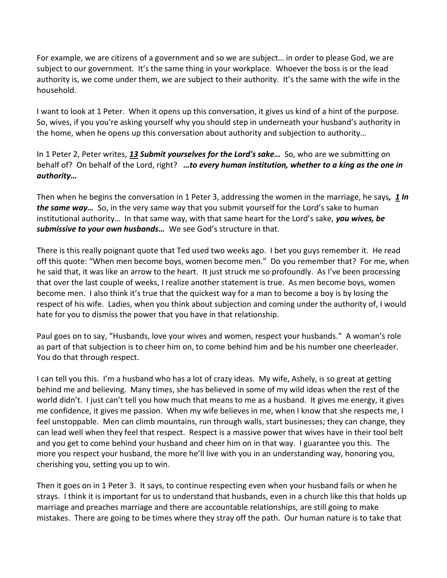For example, we are citizens of a government and so we are subject… in order to please God, we are subject to our government. It's the same thing in your workplace. Whoever the boss is or the lead authority is, we come under them, we are subject to their authority. It's the same with the wife in the household.

I want to look at 1 Peter. When it opens up this conversation, it gives us kind of a hint of the purpose. So, wives, if you you're asking yourself why you should step in underneath your husband's authority in the home, when he opens up this conversation about authority and subjection to authority…

In 1 Peter 2, Peter writes, *[13](http://www.studylight.org/desk/?q=1pe%202:13&t1=en_nas&sr=1) Submit yourselves for the Lord's sake…* So, who are we submitting on behalf of? On behalf of the Lord, right? *…to every human institution, whether to a king as the one in authority…* 

Then when he begins the conversation in 1 Peter 3, addressing the women in the marriage, he says*, [1](http://www.studylight.org/desk/?q=1pe%203:1&t1=en_nas&sr=1) In the same way…* So, in the very same way that you submit yourself for the Lord's sake to human institutional authority… In that same way, with that same heart for the Lord's sake, *you wives, be submissive to your own husbands…* We see God's structure in that.

There is this really poignant quote that Ted used two weeks ago. I bet you guys remember it. He read off this quote: "When men become boys, women become men." Do you remember that? For me, when he said that, it was like an arrow to the heart. It just struck me so profoundly. As I've been processing that over the last couple of weeks, I realize another statement is true. As men become boys, women become men. I also think it's true that the quickest way for a man to become a boy is by losing the respect of his wife. Ladies, when you think about subjection and coming under the authority of, I would hate for you to dismiss the power that you have in that relationship.

Paul goes on to say, "Husbands, love your wives and women, respect your husbands." A woman's role as part of that subjection is to cheer him on, to come behind him and be his number one cheerleader. You do that through respect.

I can tell you this. I'm a husband who has a lot of crazy ideas. My wife, Ashely, is so great at getting behind me and believing. Many times, she has believed in some of my wild ideas when the rest of the world didn't. I just can't tell you how much that means to me as a husband. It gives me energy, it gives me confidence, it gives me passion. When my wife believes in me, when I know that she respects me, I feel unstoppable. Men can climb mountains, run through walls, start businesses; they can change, they can lead well when they feel that respect. Respect is a massive power that wives have in their tool belt and you get to come behind your husband and cheer him on in that way. I guarantee you this. The more you respect your husband, the more he'll live with you in an understanding way, honoring you, cherishing you, setting you up to win.

Then it goes on in 1 Peter 3. It says, to continue respecting even when your husband fails or when he strays. I think it is important for us to understand that husbands, even in a church like this that holds up marriage and preaches marriage and there are accountable relationships, are still going to make mistakes. There are going to be times where they stray off the path. Our human nature is to take that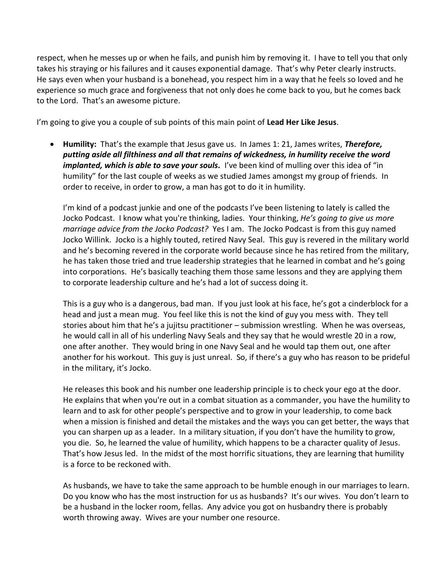respect, when he messes up or when he fails, and punish him by removing it. I have to tell you that only takes his straying or his failures and it causes exponential damage. That's why Peter clearly instructs. He says even when your husband is a bonehead, you respect him in a way that he feels so loved and he experience so much grace and forgiveness that not only does he come back to you, but he comes back to the Lord. That's an awesome picture.

I'm going to give you a couple of sub points of this main point of **Lead Her Like Jesus**.

 **Humility:** That's the example that Jesus gave us. In James 1: 21, James writes, *Therefore, putting aside all filthiness and all that remains of wickedness, in humility receive the word implanted, which is able to save your souls.* I've been kind of mulling over this idea of "in humility" for the last couple of weeks as we studied James amongst my group of friends. In order to receive, in order to grow, a man has got to do it in humility.

I'm kind of a podcast junkie and one of the podcasts I've been listening to lately is called the Jocko Podcast. I know what you're thinking, ladies. Your thinking, *He's going to give us more marriage advice from the Jocko Podcast?* Yes I am. The Jocko Podcast is from this guy named Jocko Willink. Jocko is a highly touted, retired Navy Seal. This guy is revered in the military world and he's becoming revered in the corporate world because since he has retired from the military, he has taken those tried and true leadership strategies that he learned in combat and he's going into corporations. He's basically teaching them those same lessons and they are applying them to corporate leadership culture and he's had a lot of success doing it.

This is a guy who is a dangerous, bad man. If you just look at his face, he's got a cinderblock for a head and just a mean mug. You feel like this is not the kind of guy you mess with. They tell stories about him that he's a jujitsu practitioner – submission wrestling. When he was overseas, he would call in all of his underling Navy Seals and they say that he would wrestle 20 in a row, one after another. They would bring in one Navy Seal and he would tap them out, one after another for his workout. This guy is just unreal. So, if there's a guy who has reason to be prideful in the military, it's Jocko.

He releases this book and his number one leadership principle is to check your ego at the door. He explains that when you're out in a combat situation as a commander, you have the humility to learn and to ask for other people's perspective and to grow in your leadership, to come back when a mission is finished and detail the mistakes and the ways you can get better, the ways that you can sharpen up as a leader. In a military situation, if you don't have the humility to grow, you die. So, he learned the value of humility, which happens to be a character quality of Jesus. That's how Jesus led. In the midst of the most horrific situations, they are learning that humility is a force to be reckoned with.

As husbands, we have to take the same approach to be humble enough in our marriages to learn. Do you know who has the most instruction for us as husbands? It's our wives. You don't learn to be a husband in the locker room, fellas. Any advice you got on husbandry there is probably worth throwing away. Wives are your number one resource.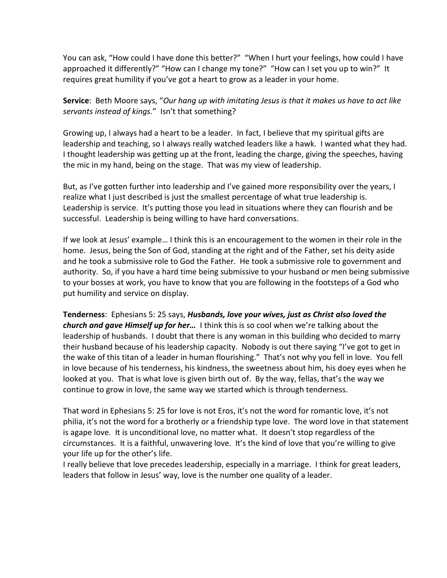You can ask, "How could I have done this better?" "When I hurt your feelings, how could I have approached it differently?" "How can I change my tone?" "How can I set you up to win?" It requires great humility if you've got a heart to grow as a leader in your home.

**Service**: Beth Moore says, "*Our hang up with imitating Jesus is that it makes us have to act like servants instead of kings.*" Isn't that something?

Growing up, I always had a heart to be a leader. In fact, I believe that my spiritual gifts are leadership and teaching, so I always really watched leaders like a hawk. I wanted what they had. I thought leadership was getting up at the front, leading the charge, giving the speeches, having the mic in my hand, being on the stage. That was my view of leadership.

But, as I've gotten further into leadership and I've gained more responsibility over the years, I realize what I just described is just the smallest percentage of what true leadership is. Leadership is service. It's putting those you lead in situations where they can flourish and be successful. Leadership is being willing to have hard conversations.

If we look at Jesus' example… I think this is an encouragement to the women in their role in the home. Jesus, being the Son of God, standing at the right and of the Father, set his deity aside and he took a submissive role to God the Father. He took a submissive role to government and authority. So, if you have a hard time being submissive to your husband or men being submissive to your bosses at work, you have to know that you are following in the footsteps of a God who put humility and service on display.

**Tenderness**: Ephesians 5: 25 says, *Husbands, love your wives, just as Christ also loved the church and gave Himself up for her…* I think this is so cool when we're talking about the leadership of husbands. I doubt that there is any woman in this building who decided to marry their husband because of his leadership capacity. Nobody is out there saying "I've got to get in the wake of this titan of a leader in human flourishing." That's not why you fell in love. You fell in love because of his tenderness, his kindness, the sweetness about him, his doey eyes when he looked at you. That is what love is given birth out of. By the way, fellas, that's the way we continue to grow in love, the same way we started which is through tenderness.

That word in Ephesians 5: 25 for love is not Eros, it's not the word for romantic love, it's not philia, it's not the word for a brotherly or a friendship type love. The word love in that statement is agape love. It is unconditional love, no matter what. It doesn't stop regardless of the circumstances. It is a faithful, unwavering love. It's the kind of love that you're willing to give your life up for the other's life.

I really believe that love precedes leadership, especially in a marriage. I think for great leaders, leaders that follow in Jesus' way, love is the number one quality of a leader.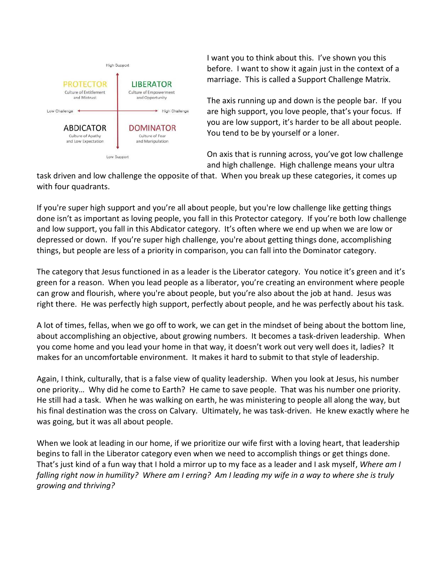

I want you to think about this. I've shown you this before. I want to show it again just in the context of a marriage. This is called a Support Challenge Matrix.

The axis running up and down is the people bar. If you are high support, you love people, that's your focus. If you are low support, it's harder to be all about people. You tend to be by yourself or a loner.

On axis that is running across, you've got low challenge and high challenge. High challenge means your ultra

task driven and low challenge the opposite of that. When you break up these categories, it comes up with four quadrants.

If you're super high support and you're all about people, but you're low challenge like getting things done isn't as important as loving people, you fall in this Protector category. If you're both low challenge and low support, you fall in this Abdicator category. It's often where we end up when we are low or depressed or down. If you're super high challenge, you're about getting things done, accomplishing things, but people are less of a priority in comparison, you can fall into the Dominator category.

The category that Jesus functioned in as a leader is the Liberator category. You notice it's green and it's green for a reason. When you lead people as a liberator, you're creating an environment where people can grow and flourish, where you're about people, but you're also about the job at hand. Jesus was right there. He was perfectly high support, perfectly about people, and he was perfectly about his task.

A lot of times, fellas, when we go off to work, we can get in the mindset of being about the bottom line, about accomplishing an objective, about growing numbers. It becomes a task-driven leadership. When you come home and you lead your home in that way, it doesn't work out very well does it, ladies? It makes for an uncomfortable environment. It makes it hard to submit to that style of leadership.

Again, I think, culturally, that is a false view of quality leadership. When you look at Jesus, his number one priority… Why did he come to Earth? He came to save people. That was his number one priority. He still had a task. When he was walking on earth, he was ministering to people all along the way, but his final destination was the cross on Calvary. Ultimately, he was task-driven. He knew exactly where he was going, but it was all about people.

When we look at leading in our home, if we prioritize our wife first with a loving heart, that leadership begins to fall in the Liberator category even when we need to accomplish things or get things done. That's just kind of a fun way that I hold a mirror up to my face as a leader and I ask myself, *Where am I falling right now in humility? Where am I erring? Am I leading my wife in a way to where she is truly growing and thriving?*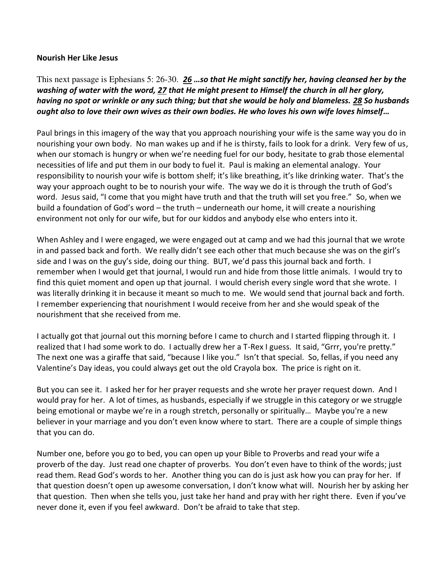#### **Nourish Her Like Jesus**

This next passage is Ephesians 5: 26-30. *[26](http://www.studylight.org/desk/?q=eph%205:26&t1=en_nas&sr=1) …so that He might sanctify her, having cleansed her by the washing of water with the word, [27](http://www.studylight.org/desk/?q=eph%205:27&t1=en_nas&sr=1) that He might present to Himself the church in all her glory, having no spot or wrinkle or any such thing; but that she would be holy and blameless. [28](http://www.studylight.org/desk/?q=eph%205:28&t1=en_nas&sr=1) So husbands ought also to love their own wives as their own bodies. He who loves his own wife loves himself…*

Paul brings in this imagery of the way that you approach nourishing your wife is the same way you do in nourishing your own body. No man wakes up and if he is thirsty, fails to look for a drink. Very few of us, when our stomach is hungry or when we're needing fuel for our body, hesitate to grab those elemental necessities of life and put them in our body to fuel it. Paul is making an elemental analogy. Your responsibility to nourish your wife is bottom shelf; it's like breathing, it's like drinking water. That's the way your approach ought to be to nourish your wife. The way we do it is through the truth of God's word. Jesus said, "I come that you might have truth and that the truth will set you free." So, when we build a foundation of God's word – the truth – underneath our home, it will create a nourishing environment not only for our wife, but for our kiddos and anybody else who enters into it.

When Ashley and I were engaged, we were engaged out at camp and we had this journal that we wrote in and passed back and forth. We really didn't see each other that much because she was on the girl's side and I was on the guy's side, doing our thing. BUT, we'd pass this journal back and forth. I remember when I would get that journal, I would run and hide from those little animals. I would try to find this quiet moment and open up that journal. I would cherish every single word that she wrote. I was literally drinking it in because it meant so much to me. We would send that journal back and forth. I remember experiencing that nourishment I would receive from her and she would speak of the nourishment that she received from me.

I actually got that journal out this morning before I came to church and I started flipping through it. I realized that I had some work to do. I actually drew her a T-Rex I guess. It said, "Grrr, you're pretty." The next one was a giraffe that said, "because I like you." Isn't that special. So, fellas, if you need any Valentine's Day ideas, you could always get out the old Crayola box. The price is right on it.

But you can see it. I asked her for her prayer requests and she wrote her prayer request down. And I would pray for her. A lot of times, as husbands, especially if we struggle in this category or we struggle being emotional or maybe we're in a rough stretch, personally or spiritually… Maybe you're a new believer in your marriage and you don't even know where to start. There are a couple of simple things that you can do.

Number one, before you go to bed, you can open up your Bible to Proverbs and read your wife a proverb of the day. Just read one chapter of proverbs. You don't even have to think of the words; just read them. Read God's words to her. Another thing you can do is just ask how you can pray for her. If that question doesn't open up awesome conversation, I don't know what will. Nourish her by asking her that question. Then when she tells you, just take her hand and pray with her right there. Even if you've never done it, even if you feel awkward. Don't be afraid to take that step.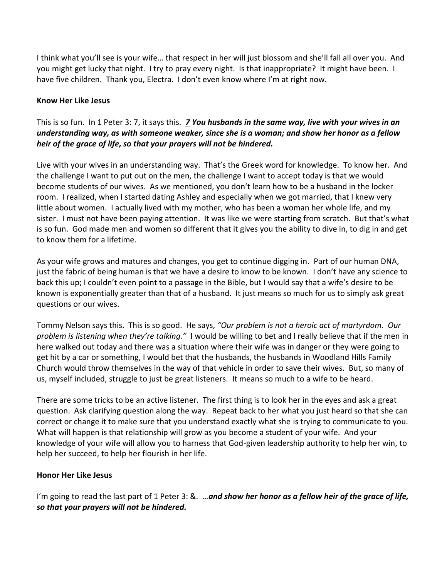I think what you'll see is your wife… that respect in her will just blossom and she'll fall all over you. And you might get lucky that night. I try to pray every night. Is that inappropriate? It might have been. I have five children. Thank you, Electra. I don't even know where I'm at right now.

### **Know Her Like Jesus**

# This is so fun. In 1 Peter 3: 7, it says this. *[7](http://www.studylight.org/desk/?q=1pe%203:7&t1=en_nas&sr=1) You husbands in the same way, live with your wives in an understanding way, as with someone weaker, since she is a woman; and show her honor as a fellow heir of the grace of life, so that your prayers will not be hindered.*

Live with your wives in an understanding way. That's the Greek word for knowledge. To know her. And the challenge I want to put out on the men, the challenge I want to accept today is that we would become students of our wives. As we mentioned, you don't learn how to be a husband in the locker room. I realized, when I started dating Ashley and especially when we got married, that I knew very little about women. I actually lived with my mother, who has been a woman her whole life, and my sister. I must not have been paying attention. It was like we were starting from scratch. But that's what is so fun. God made men and women so different that it gives you the ability to dive in, to dig in and get to know them for a lifetime.

As your wife grows and matures and changes, you get to continue digging in. Part of our human DNA, just the fabric of being human is that we have a desire to know to be known. I don't have any science to back this up; I couldn't even point to a passage in the Bible, but I would say that a wife's desire to be known is exponentially greater than that of a husband. It just means so much for us to simply ask great questions or our wives.

Tommy Nelson says this. This is so good. He says, *"Our problem is not a heroic act of martyrdom. Our problem is listening when they're talking."* I would be willing to bet and I really believe that if the men in here walked out today and there was a situation where their wife was in danger or they were going to get hit by a car or something, I would bet that the husbands, the husbands in Woodland Hills Family Church would throw themselves in the way of that vehicle in order to save their wives. But, so many of us, myself included, struggle to just be great listeners. It means so much to a wife to be heard.

There are some tricks to be an active listener. The first thing is to look her in the eyes and ask a great question. Ask clarifying question along the way. Repeat back to her what you just heard so that she can correct or change it to make sure that you understand exactly what she is trying to communicate to you. What will happen is that relationship will grow as you become a student of your wife. And your knowledge of your wife will allow you to harness that God-given leadership authority to help her win, to help her succeed, to help her flourish in her life.

## **Honor Her Like Jesus**

I'm going to read the last part of 1 Peter 3: &. …*and show her honor as a fellow heir of the grace of life, so that your prayers will not be hindered.*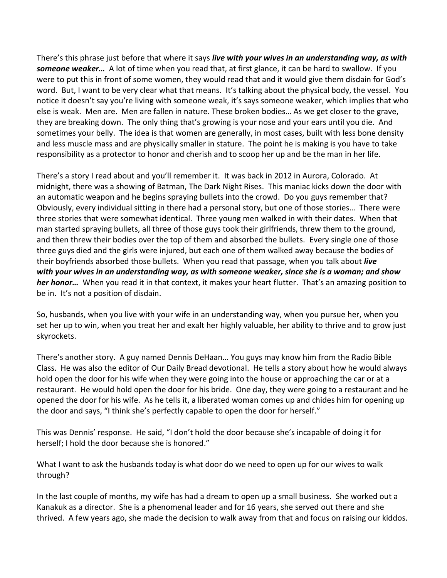There's this phrase just before that where it says *live with your wives in an understanding way, as with someone weaker…* A lot of time when you read that, at first glance, it can be hard to swallow. If you were to put this in front of some women, they would read that and it would give them disdain for God's word. But, I want to be very clear what that means. It's talking about the physical body, the vessel. You notice it doesn't say you're living with someone weak, it's says someone weaker, which implies that who else is weak. Men are. Men are fallen in nature. These broken bodies… As we get closer to the grave, they are breaking down. The only thing that's growing is your nose and your ears until you die. And sometimes your belly. The idea is that women are generally, in most cases, built with less bone density and less muscle mass and are physically smaller in stature. The point he is making is you have to take responsibility as a protector to honor and cherish and to scoop her up and be the man in her life.

There's a story I read about and you'll remember it. It was back in 2012 in Aurora, Colorado. At midnight, there was a showing of Batman, The Dark Night Rises. This maniac kicks down the door with an automatic weapon and he begins spraying bullets into the crowd. Do you guys remember that? Obviously, every individual sitting in there had a personal story, but one of those stories… There were three stories that were somewhat identical. Three young men walked in with their dates. When that man started spraying bullets, all three of those guys took their girlfriends, threw them to the ground, and then threw their bodies over the top of them and absorbed the bullets. Every single one of those three guys died and the girls were injured, but each one of them walked away because the bodies of their boyfriends absorbed those bullets. When you read that passage, when you talk about *live with your wives in an understanding way, as with someone weaker, since she is a woman; and show her honor…* When you read it in that context, it makes your heart flutter. That's an amazing position to be in. It's not a position of disdain.

So, husbands, when you live with your wife in an understanding way, when you pursue her, when you set her up to win, when you treat her and exalt her highly valuable, her ability to thrive and to grow just skyrockets.

There's another story. A guy named Dennis DeHaan… You guys may know him from the Radio Bible Class. He was also the editor of Our Daily Bread devotional. He tells a story about how he would always hold open the door for his wife when they were going into the house or approaching the car or at a restaurant. He would hold open the door for his bride. One day, they were going to a restaurant and he opened the door for his wife. As he tells it, a liberated woman comes up and chides him for opening up the door and says, "I think she's perfectly capable to open the door for herself."

This was Dennis' response. He said, "I don't hold the door because she's incapable of doing it for herself; I hold the door because she is honored."

What I want to ask the husbands today is what door do we need to open up for our wives to walk through?

In the last couple of months, my wife has had a dream to open up a small business. She worked out a Kanakuk as a director. She is a phenomenal leader and for 16 years, she served out there and she thrived. A few years ago, she made the decision to walk away from that and focus on raising our kiddos.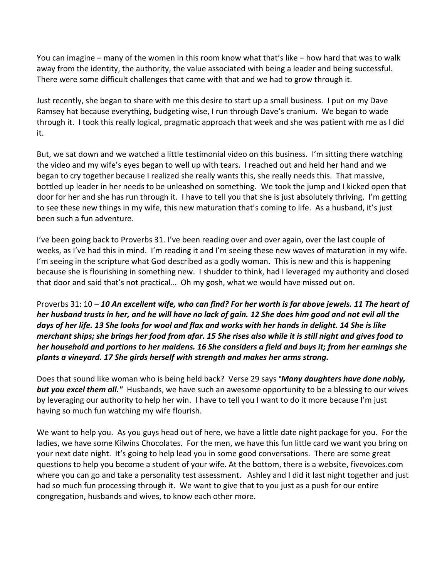You can imagine – many of the women in this room know what that's like – how hard that was to walk away from the identity, the authority, the value associated with being a leader and being successful. There were some difficult challenges that came with that and we had to grow through it.

Just recently, she began to share with me this desire to start up a small business. I put on my Dave Ramsey hat because everything, budgeting wise, I run through Dave's cranium. We began to wade through it. I took this really logical, pragmatic approach that week and she was patient with me as I did it.

But, we sat down and we watched a little testimonial video on this business. I'm sitting there watching the video and my wife's eyes began to well up with tears. I reached out and held her hand and we began to cry together because I realized she really wants this, she really needs this. That massive, bottled up leader in her needs to be unleashed on something. We took the jump and I kicked open that door for her and she has run through it. I have to tell you that she is just absolutely thriving. I'm getting to see these new things in my wife, this new maturation that's coming to life. As a husband, it's just been such a fun adventure.

I've been going back to Proverbs 31. I've been reading over and over again, over the last couple of weeks, as I've had this in mind. I'm reading it and I'm seeing these new waves of maturation in my wife. I'm seeing in the scripture what God described as a godly woman. This is new and this is happening because she is flourishing in something new. I shudder to think, had I leveraged my authority and closed that door and said that's not practical… Oh my gosh, what we would have missed out on.

Proverbs 31: 10 – *[10](http://www.studylight.org/desk/?q=pr%2031:10&t1=en_nas&sr=1) An excellent wife, who can find? For her worth is far above jewels. [11](http://www.studylight.org/desk/?q=pr%2031:11&t1=en_nas&sr=1) The heart of her husband trusts in her, and he will have no lack of gain. [12](http://www.studylight.org/desk/?q=pr%2031:12&t1=en_nas&sr=1) She does him good and not evil all the days of her life. [13](http://www.studylight.org/desk/?q=pr%2031:13&t1=en_nas&sr=1) She looks for wool and flax and works with her hands in delight. [14](http://www.studylight.org/desk/?q=pr%2031:14&t1=en_nas&sr=1) She is like merchant ships; she brings her food from afar. [15](http://www.studylight.org/desk/?q=pr%2031:15&t1=en_nas&sr=1) She rises also while it is still night and gives food to her household and portions to her maidens. [16](http://www.studylight.org/desk/?q=pr%2031:16&t1=en_nas&sr=1) She considers a field and buys it; from her earnings she plants a vineyard. [17](http://www.studylight.org/desk/?q=pr%2031:17&t1=en_nas&sr=1) She girds herself with strength and makes her arms strong.*

Does that sound like woman who is being held back? Verse 29 says "*Many daughters have done nobly, but you excel them all."* Husbands, we have such an awesome opportunity to be a blessing to our wives by leveraging our authority to help her win. I have to tell you I want to do it more because I'm just having so much fun watching my wife flourish.

We want to help you. As you guys head out of here, we have a little date night package for you. For the ladies, we have some Kilwins Chocolates. For the men, we have this fun little card we want you bring on your next date night. It's going to help lead you in some good conversations. There are some great questions to help you become a student of your wife. At the bottom, there is a website, fivevoices.com where you can go and take a personality test assessment. Ashley and I did it last night together and just had so much fun processing through it. We want to give that to you just as a push for our entire congregation, husbands and wives, to know each other more.